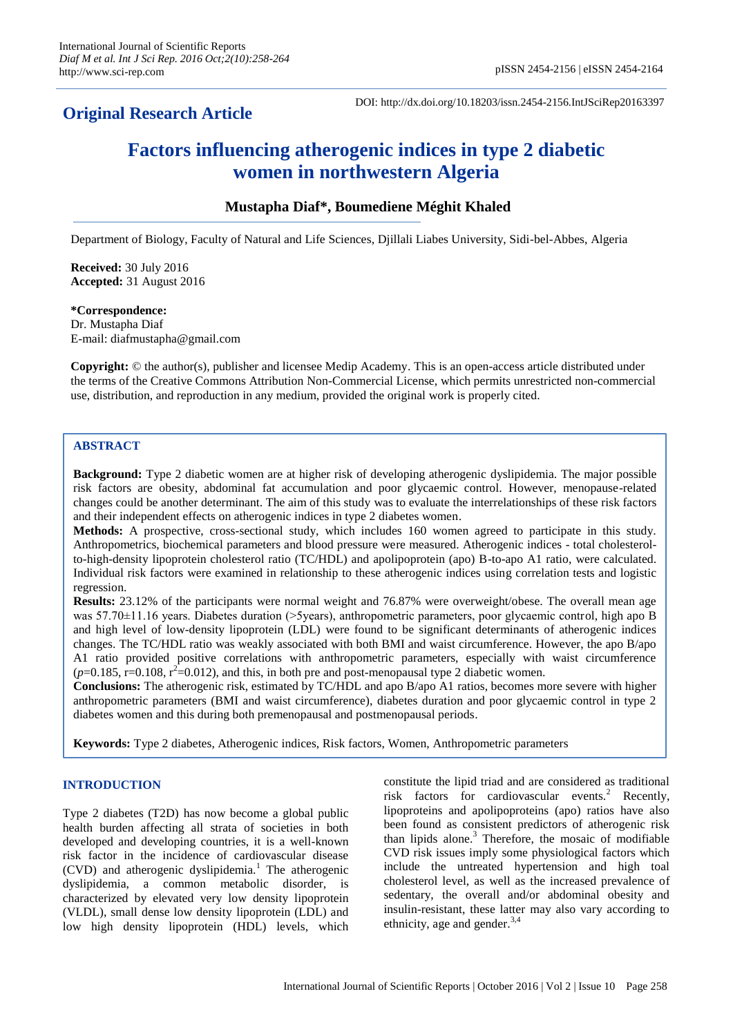# **Original Research Article**

DOI: http://dx.doi.org/10.18203/issn.2454-2156.IntJSciRep20163397

# **Factors influencing atherogenic indices in type 2 diabetic women in northwestern Algeria**

# **Mustapha Diaf\*, Boumediene Méghit Khaled**

Department of Biology, Faculty of Natural and Life Sciences, Djillali Liabes University, Sidi-bel-Abbes, Algeria

**Received:** 30 July 2016 **Accepted:** 31 August 2016

#### **\*Correspondence:** Dr. Mustapha Diaf E-mail: diafmustapha@gmail.com

**Copyright:** © the author(s), publisher and licensee Medip Academy. This is an open-access article distributed under the terms of the Creative Commons Attribution Non-Commercial License, which permits unrestricted non-commercial use, distribution, and reproduction in any medium, provided the original work is properly cited.

# **ABSTRACT**

**Background:** Type 2 diabetic women are at higher risk of developing atherogenic dyslipidemia. The major possible risk factors are obesity, abdominal fat accumulation and poor glycaemic control. However, menopause-related changes could be another determinant. The aim of this study was to evaluate the interrelationships of these risk factors and their independent effects on atherogenic indices in type 2 diabetes women.

**Methods:** A prospective, cross-sectional study, which includes 160 women agreed to participate in this study. Anthropometrics, biochemical parameters and blood pressure were measured. Atherogenic indices - total cholesterolto-high-density lipoprotein cholesterol ratio (TC/HDL) and apolipoprotein (apo) B-to-apo A1 ratio, were calculated. Individual risk factors were examined in relationship to these atherogenic indices using correlation tests and logistic regression.

**Results:** 23.12% of the participants were normal weight and 76.87% were overweight/obese. The overall mean age was 57.70±11.16 years. Diabetes duration (>5years), anthropometric parameters, poor glycaemic control, high apo B and high level of low-density lipoprotein (LDL) were found to be significant determinants of atherogenic indices changes. The TC/HDL ratio was weakly associated with both BMI and waist circumference. However, the apo B/apo A1 ratio provided positive correlations with anthropometric parameters, especially with waist circumference  $(p=0.185, r=0.108, r^2=0.012)$ , and this, in both pre and post-menopausal type 2 diabetic women.

**Conclusions:** The atherogenic risk, estimated by TC/HDL and apo B/apo A1 ratios, becomes more severe with higher anthropometric parameters (BMI and waist circumference), diabetes duration and poor glycaemic control in type 2 diabetes women and this during both premenopausal and postmenopausal periods.

**Keywords:** Type 2 diabetes, Atherogenic indices, Risk factors, Women, Anthropometric parameters

# **INTRODUCTION**

Type 2 diabetes (T2D) has now become a global public health burden affecting all strata of societies in both developed and developing countries, it is a well-known risk factor in the incidence of cardiovascular disease (CVD) and atherogenic dyslipidemia.<sup>1</sup> The atherogenic dyslipidemia, a common metabolic disorder, is characterized by elevated very low density lipoprotein (VLDL), small dense low density lipoprotein (LDL) and low high density lipoprotein (HDL) levels, which constitute the lipid triad and are considered as traditional risk factors for cardiovascular events.<sup>2</sup> Recently, lipoproteins and apolipoproteins (apo) ratios have also been found as consistent predictors of atherogenic risk than lipids alone. $3$  Therefore, the mosaic of modifiable CVD risk issues imply some physiological factors which include the untreated hypertension and high toal cholesterol level, as well as the increased prevalence of sedentary, the overall and/or abdominal obesity and insulin-resistant, these latter may also vary according to ethnicity, age and gender.<sup>3,4</sup>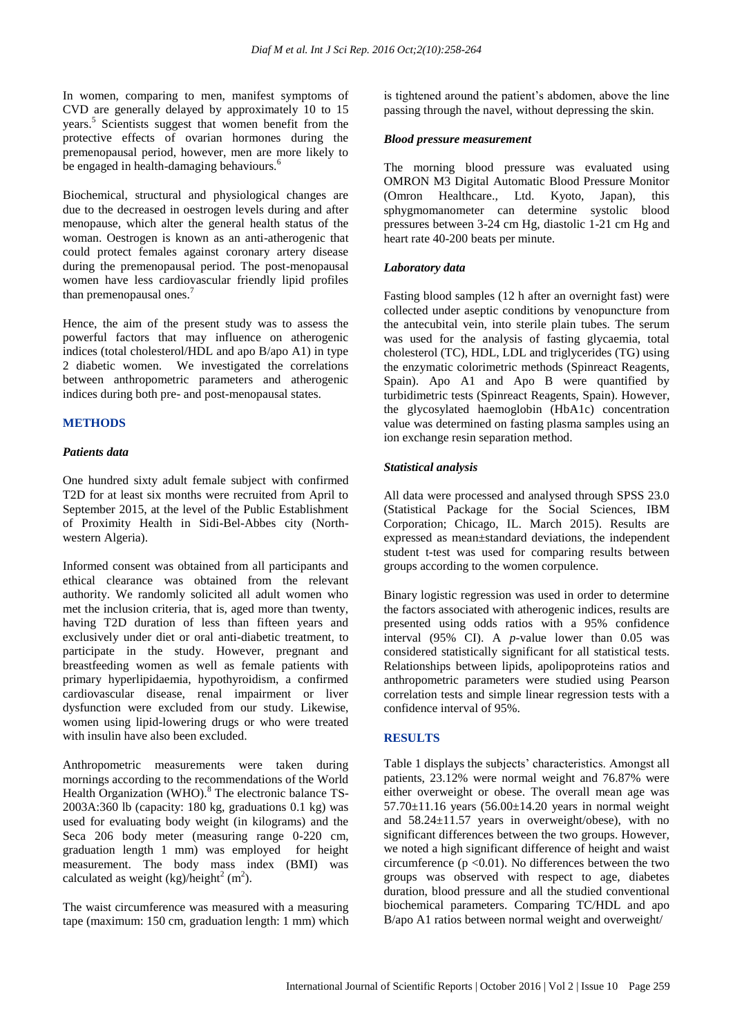In women, comparing to men, manifest symptoms of CVD are generally delayed by approximately 10 to 15 years.<sup>5</sup> Scientists suggest that women benefit from the protective effects of ovarian hormones during the premenopausal period, however, men are more likely to be engaged in health-damaging behaviours.<sup>6</sup>

Biochemical, structural and physiological changes are due to the decreased in oestrogen levels during and after menopause, which alter the general health status of the woman. Oestrogen is known as an anti-atherogenic that could protect females against coronary artery disease during the premenopausal period. The post-menopausal women have less cardiovascular friendly lipid profiles than premenopausal ones.<sup>7</sup>

Hence, the aim of the present study was to assess the powerful factors that may influence on atherogenic indices (total cholesterol/HDL and apo B/apo A1) in type 2 diabetic women. We investigated the correlations between anthropometric parameters and atherogenic indices during both pre- and post-menopausal states.

# **METHODS**

#### *Patients data*

One hundred sixty adult female subject with confirmed T2D for at least six months were recruited from April to September 2015, at the level of the Public Establishment of Proximity Health in Sidi-Bel-Abbes city (Northwestern Algeria).

Informed consent was obtained from all participants and ethical clearance was obtained from the relevant authority. We randomly solicited all adult women who met the inclusion criteria, that is, aged more than twenty, having T2D duration of less than fifteen years and exclusively under diet or oral anti-diabetic treatment, to participate in the study. However, pregnant and breastfeeding women as well as female patients with primary hyperlipidaemia, hypothyroidism, a confirmed cardiovascular disease, renal impairment or liver dysfunction were excluded from our study. Likewise, women using lipid-lowering drugs or who were treated with insulin have also been excluded.

Anthropometric measurements were taken during mornings according to the recommendations of the World Health Organization (WHO).<sup>8</sup> The electronic balance TS-2003A:360 lb (capacity: 180 kg, graduations 0.1 kg) was used for evaluating body weight (in kilograms) and the Seca 206 body meter (measuring range 0-220 cm, graduation length 1 mm) was employed for height measurement. The body mass index (BMI) was calculated as weight  $(kg)/\text{height}^2$  (m<sup>2</sup>).

The waist circumference was measured with a measuring tape (maximum: 150 cm, graduation length: 1 mm) which is tightened around the patient's abdomen, above the line passing through the navel, without depressing the skin.

#### *Blood pressure measurement*

The morning blood pressure was evaluated using OMRON M3 Digital Automatic Blood Pressure Monitor (Omron Healthcare., Ltd. Kyoto, Japan), this sphygmomanometer can determine systolic blood pressures between 3-24 cm Hg, diastolic 1-21 cm Hg and heart rate 40-200 beats per minute.

# *Laboratory data*

Fasting blood samples (12 h after an overnight fast) were collected under aseptic conditions by venopuncture from the antecubital vein, into sterile plain tubes. The serum was used for the analysis of fasting glycaemia, total cholesterol (TC), HDL, LDL and triglycerides (TG) using the enzymatic colorimetric methods (Spinreact Reagents, Spain). Apo A1 and Apo B were quantified by turbidimetric tests (Spinreact Reagents, Spain). However, the glycosylated haemoglobin (HbA1c) concentration value was determined on fasting plasma samples using an ion exchange resin separation method.

# *Statistical analysis*

All data were processed and analysed through SPSS 23.0 (Statistical Package for the Social Sciences, IBM Corporation; Chicago, IL. March 2015). Results are expressed as mean±standard deviations, the independent student t-test was used for comparing results between groups according to the women corpulence.

Binary logistic regression was used in order to determine the factors associated with atherogenic indices, results are presented using odds ratios with a 95% confidence interval (95% CI). A *p*-value lower than 0.05 was considered statistically significant for all statistical tests. Relationships between lipids, apolipoproteins ratios and anthropometric parameters were studied using Pearson correlation tests and simple linear regression tests with a confidence interval of 95%.

# **RESULTS**

Table 1 displays the subjects' characteristics. Amongst all patients, 23.12% were normal weight and 76.87% were either overweight or obese. The overall mean age was 57.70 $\pm$ 11.16 years (56.00 $\pm$ 14.20 years in normal weight and 58.24±11.57 years in overweight/obese), with no significant differences between the two groups. However, we noted a high significant difference of height and waist circumference ( $p \le 0.01$ ). No differences between the two groups was observed with respect to age, diabetes duration, blood pressure and all the studied conventional biochemical parameters. Comparing TC/HDL and apo B/apo A1 ratios between normal weight and overweight/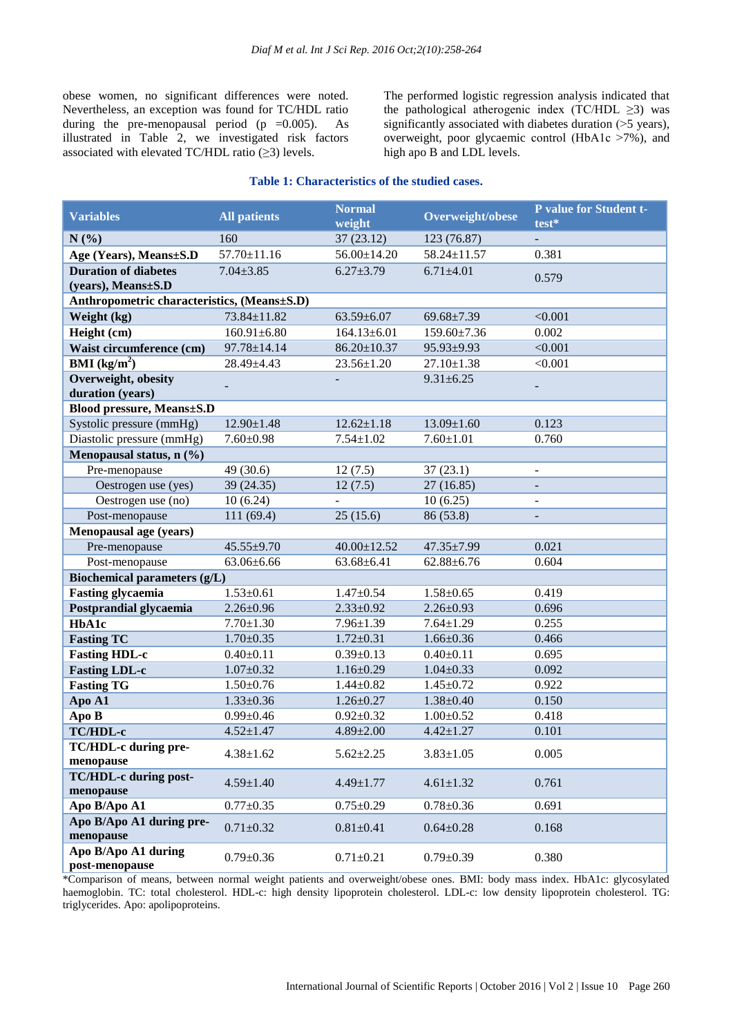obese women, no significant differences were noted. Nevertheless, an exception was found for TC/HDL ratio during the pre-menopausal period  $(p = 0.005)$ . As illustrated in Table 2, we investigated risk factors associated with elevated TC/HDL ratio  $(\geq 3)$  levels.

The performed logistic regression analysis indicated that the pathological atherogenic index (TC/HDL  $\geq$ 3) was significantly associated with diabetes duration ( $>5$  years), overweight, poor glycaemic control (HbA1c ˃7%), and high apo B and LDL levels.

| <b>Variables</b>                            | <b>All patients</b> | <b>Normal</b><br>weight | Overweight/obese | P value for Student t-<br>test* |
|---------------------------------------------|---------------------|-------------------------|------------------|---------------------------------|
| N(%)                                        | 160                 | 37(23.12)               | 123 (76.87)      |                                 |
| Age (Years), Means±S.D                      | $57.70 \pm 11.16$   | 56.00±14.20             | 58.24±11.57      | 0.381                           |
| <b>Duration of diabetes</b>                 | $7.04 \pm 3.85$     | $6.27 \pm 3.79$         | $6.71 \pm 4.01$  |                                 |
| (years), Means $\pm$ S.D                    |                     |                         |                  | 0.579                           |
| Anthropometric characteristics, (Means±S.D) |                     |                         |                  |                                 |
| Weight (kg)                                 | 73.84±11.82         | $63.59 \pm 6.07$        | $69.68 \pm 7.39$ | < 0.001                         |
| Height (cm)                                 | $160.91 \pm 6.80$   | $164.13 \pm 6.01$       | 159.60±7.36      | 0.002                           |
| Waist circumference (cm)                    | 97.78±14.14         | $86.20 \pm 10.37$       | 95.93±9.93       | < 0.001                         |
| <b>BMI</b> ( $kg/m2$ )                      | $28.49 \pm 4.43$    | $23.56 \pm 1.20$        | $27.10 \pm 1.38$ | < 0.001                         |
| Overweight, obesity<br>duration (years)     |                     |                         | $9.31 \pm 6.25$  |                                 |
| <b>Blood pressure, Means±S.D</b>            |                     |                         |                  |                                 |
| Systolic pressure (mmHg)                    | $12.90 \pm 1.48$    | $12.62 \pm 1.18$        | $13.09 \pm 1.60$ | 0.123                           |
| Diastolic pressure (mmHg)                   | $7.60 \pm 0.98$     | $7.54 \pm 1.02$         | $7.60 \pm 1.01$  | 0.760                           |
| Menopausal status, n (%)                    |                     |                         |                  |                                 |
| Pre-menopause                               | 49 (30.6)           | 12(7.5)                 | 37(23.1)         | $\overline{a}$                  |
| Oestrogen use (yes)                         | 39 (24.35)          | 12(7.5)                 | 27 (16.85)       |                                 |
| Oestrogen use (no)                          | 10(6.24)            |                         | 10(6.25)         |                                 |
| Post-menopause                              | 111 (69.4)          | 25(15.6)                | 86 (53.8)        |                                 |
| Menopausal age (years)                      |                     |                         |                  |                                 |
| Pre-menopause                               | 45.55±9.70          | $40.00 \pm 12.52$       | 47.35±7.99       | 0.021                           |
| Post-menopause                              | $63.06 \pm 6.66$    | $63.68 \pm 6.41$        | $62.88 \pm 6.76$ | 0.604                           |
| Biochemical parameters (g/L)                |                     |                         |                  |                                 |
| <b>Fasting glycaemia</b>                    | $1.53 \pm 0.61$     | $1.47 \pm 0.54$         | $1.58 \pm 0.65$  | 0.419                           |
| Postprandial glycaemia                      | $2.26 \pm 0.96$     | $2.33 \pm 0.92$         | $2.26 \pm 0.93$  | 0.696                           |
| HbA1c                                       | $7.70 \pm 1.30$     | $7.96 \pm 1.39$         | $7.64 \pm 1.29$  | 0.255                           |
| <b>Fasting TC</b>                           | $1.70 \pm 0.35$     | $1.72 \pm 0.31$         | $1.66 \pm 0.36$  | 0.466                           |
| <b>Fasting HDL-c</b>                        | $0.40 \pm 0.11$     | $0.39 \pm 0.13$         | $0.40 \pm 0.11$  | 0.695                           |
| <b>Fasting LDL-c</b>                        | $1.07 \pm 0.32$     | $1.16 \pm 0.29$         | $1.04 \pm 0.33$  | 0.092                           |
| <b>Fasting TG</b>                           | $1.50 \pm 0.76$     | $1.44 \pm 0.82$         | $1.45 \pm 0.72$  | 0.922                           |
| Apo A1                                      | $1.33 \pm 0.36$     | $1.26 \pm 0.27$         | $1.38 \pm 0.40$  | 0.150                           |
| Apo B                                       | $0.99 \pm 0.46$     | $0.92 \pm 0.32$         | $1.00 \pm 0.52$  | 0.418                           |
| TC/HDL-c                                    | $4.52 \pm 1.47$     | $4.89 \pm 2.00$         | $4.42 \pm 1.27$  | 0.101                           |
| TC/HDL-c during pre-                        | $4.38 \pm 1.62$     | $5.62 \pm 2.25$         | $3.83 \pm 1.05$  | 0.005                           |
| menopause                                   |                     |                         |                  |                                 |
| <b>TC/HDL-c during post-</b>                | $4.59 \pm 1.40$     | $4.49 \pm 1.77$         | $4.61 \pm 1.32$  | 0.761                           |
| menopause                                   | $0.77 \pm 0.35$     |                         | $0.78 \pm 0.36$  | 0.691                           |
| Apo B/Apo A1                                |                     | $0.75 \pm 0.29$         |                  |                                 |
| Apo B/Apo A1 during pre-<br>menopause       | $0.71 \pm 0.32$     | $0.81 \pm 0.41$         | $0.64 \pm 0.28$  | 0.168                           |
| Apo B/Apo A1 during<br>post-menopause       | $0.79 \pm 0.36$     | $0.71 \pm 0.21$         | $0.79 \pm 0.39$  | 0.380                           |

#### **Table 1: Characteristics of the studied cases.**

\*Comparison of means, between normal weight patients and overweight/obese ones. BMI: body mass index. HbA1c: glycosylated haemoglobin. TC: total cholesterol. HDL-c: high density lipoprotein cholesterol. LDL-c: low density lipoprotein cholesterol. TG: triglycerides. Apo: apolipoproteins.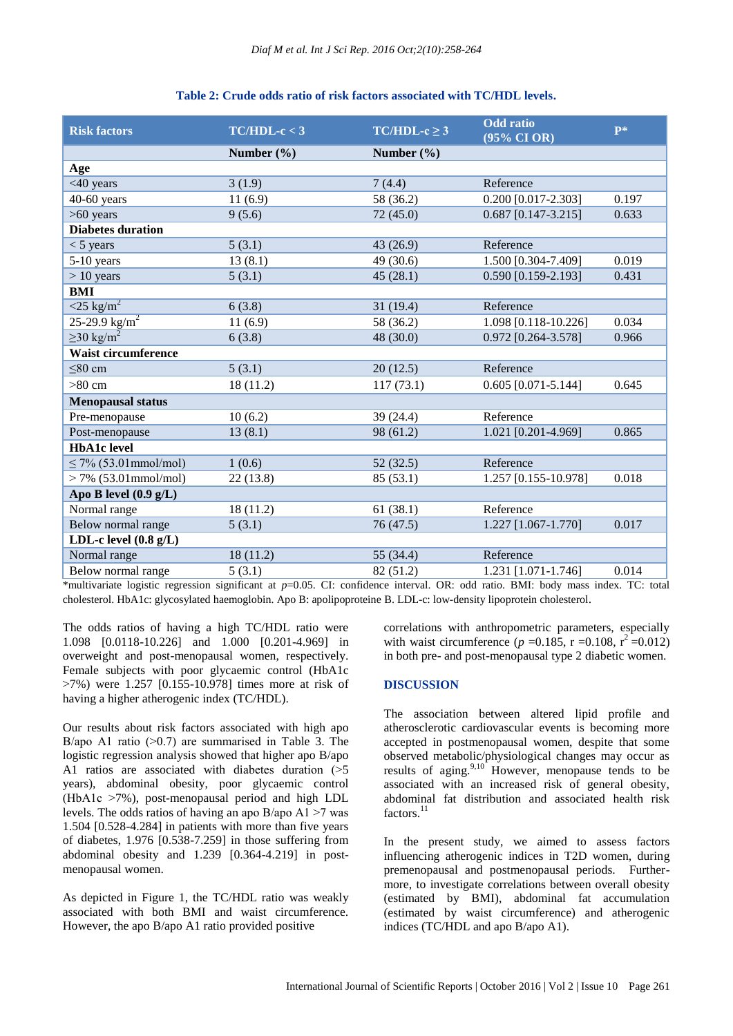| Table 2: Crude odds ratio of risk factors associated with TC/HDL levels. |
|--------------------------------------------------------------------------|
|--------------------------------------------------------------------------|

| <b>Risk factors</b>                                          | $TC/HDL-c < 3$                                                       | $TC/HDL-c \geq 3$                                                                   | <b>Odd</b> ratio<br>(95% CI OR)                                       | $\mathbf{p}$ *    |
|--------------------------------------------------------------|----------------------------------------------------------------------|-------------------------------------------------------------------------------------|-----------------------------------------------------------------------|-------------------|
|                                                              | Number $(\% )$                                                       | Number $(\% )$                                                                      |                                                                       |                   |
| Age                                                          |                                                                      |                                                                                     |                                                                       |                   |
| <40 years                                                    | 3(1.9)                                                               | 7(4.4)                                                                              | Reference                                                             |                   |
| $40-60$ years                                                | 11(6.9)                                                              | 58 (36.2)                                                                           | $0.200$ [0.017-2.303]                                                 | 0.197             |
| $>60$ years                                                  | 9(5.6)                                                               | 72(45.0)                                                                            | $0.687$ [0.147-3.215]                                                 | 0.633             |
| <b>Diabetes duration</b>                                     |                                                                      |                                                                                     |                                                                       |                   |
| $<$ 5 years                                                  | 5(3.1)                                                               | 43 (26.9)                                                                           | Reference                                                             |                   |
| 5-10 years                                                   | 13(8.1)                                                              | 49 (30.6)                                                                           | 1.500 [0.304-7.409]                                                   | 0.019             |
| $> 10$ years                                                 | 5(3.1)                                                               | 45(28.1)                                                                            | 0.590 [0.159-2.193]                                                   | 0.431             |
| <b>BMI</b>                                                   |                                                                      |                                                                                     |                                                                       |                   |
| $\sqrt{25 \text{ kg/m}^2}$                                   | 6(3.8)                                                               | 31(19.4)                                                                            | Reference                                                             |                   |
| $25 - 29.9$ kg/m <sup>2</sup>                                | 11(6.9)                                                              | 58 (36.2)                                                                           | 1.098 [0.118-10.226]                                                  | 0.034             |
| $\geq$ 30 kg/m <sup>2</sup>                                  | 6(3.8)                                                               | 48(30.0)                                                                            | 0.972 [0.264-3.578]                                                   | 0.966             |
| <b>Waist circumference</b>                                   |                                                                      |                                                                                     |                                                                       |                   |
| $\leq 80$ cm                                                 | 5(3.1)                                                               | 20(12.5)                                                                            | Reference                                                             |                   |
| $>80$ cm                                                     | 18(11.2)                                                             | 117(73.1)                                                                           | $0.605$ [0.071-5.144]                                                 | 0.645             |
| <b>Menopausal status</b>                                     |                                                                      |                                                                                     |                                                                       |                   |
| Pre-menopause                                                | 10(6.2)                                                              | 39(24.4)                                                                            | Reference                                                             |                   |
| Post-menopause                                               | 13(8.1)                                                              | 98 (61.2)                                                                           | 1.021 [0.201-4.969]                                                   | 0.865             |
| <b>HbA1c</b> level                                           |                                                                      |                                                                                     |                                                                       |                   |
| $\leq$ 7% (53.01 mmol/mol)                                   | 1(0.6)                                                               | 52(32.5)                                                                            | Reference                                                             |                   |
| $> 7\%$ (53.01 mmol/mol)                                     | 22(13.8)                                                             | 85(53.1)                                                                            | 1.257 [0.155-10.978]                                                  | 0.018             |
| Apo B level $(0.9 g/L)$                                      |                                                                      |                                                                                     |                                                                       |                   |
| Normal range                                                 | 18(11.2)                                                             | 61(38.1)                                                                            | Reference                                                             |                   |
| Below normal range                                           | 5(3.1)                                                               | 76(47.5)                                                                            | 1.227 [1.067-1.770]                                                   | 0.017             |
| LDL-c level $(0.8 \text{ g/L})$                              |                                                                      |                                                                                     |                                                                       |                   |
| Normal range                                                 | 18(11.2)                                                             | 55 (34.4)                                                                           | Reference                                                             |                   |
| Below normal range<br>the many contracts of the contracts of | 5(3.1)<br>$\overline{\cdot \cdot \cdot \cdot}$<br>$0.05$ $C_{\rm T}$ | 82(51.2)<br>C <sub>1</sub><br>1.0 <sub>n</sub><br><b>Contract Contract Contract</b> | 1.231 [1.071-1.746]<br>$11.22 \times 10^{14}$<br>$\sim$ $\sim$ $\sim$ | 0.014<br>$\Gamma$ |

\*multivariate logistic regression significant at *p*=0.05. CI: confidence interval. OR: odd ratio. BMI: body mass index. TC: total cholesterol. HbA1c: glycosylated haemoglobin. Apo B: apolipoproteine B. LDL-c: low-density lipoprotein cholesterol.

The odds ratios of having a high TC/HDL ratio were 1.098 [0.0118-10.226] and 1.000 [0.201-4.969] in overweight and post-menopausal women, respectively. Female subjects with poor glycaemic control (HbA1c  $>7\%$ ) were 1.257 [0.155-10.978] times more at risk of having a higher atherogenic index (TC/HDL).

Our results about risk factors associated with high apo B/apo A1 ratio  $(0.7)$  are summarised in Table 3. The logistic regression analysis showed that higher apo B/apo A1 ratios are associated with diabetes duration  $(>\,5$ years), abdominal obesity, poor glycaemic control (HbA1c ˃7%), post-menopausal period and high LDL levels. The odds ratios of having an apo  $B$ /apo A1  $>7$  was 1.504 [0.528-4.284] in patients with more than five years of diabetes, 1.976 [0.538-7.259] in those suffering from abdominal obesity and 1.239 [0.364-4.219] in postmenopausal women.

As depicted in Figure 1, the TC/HDL ratio was weakly associated with both BMI and waist circumference. However, the apo B/apo A1 ratio provided positive

correlations with anthropometric parameters, especially with waist circumference ( $p = 0.185$ , r = 0.108, r<sup>2</sup> = 0.012) in both pre- and post-menopausal type 2 diabetic women.

#### **DISCUSSION**

The association between altered lipid profile and atherosclerotic cardiovascular events is becoming more accepted in postmenopausal women, despite that some observed metabolic/physiological changes may occur as results of aging. $9,10$  However, menopause tends to be associated with an increased risk of general obesity, abdominal fat distribution and associated health risk  $factors.<sup>11</sup>$ 

In the present study, we aimed to assess factors influencing atherogenic indices in T2D women, during premenopausal and postmenopausal periods. Furthermore, to investigate correlations between overall obesity (estimated by BMI), abdominal fat accumulation (estimated by waist circumference) and atherogenic indices (TC/HDL and apo B/apo A1).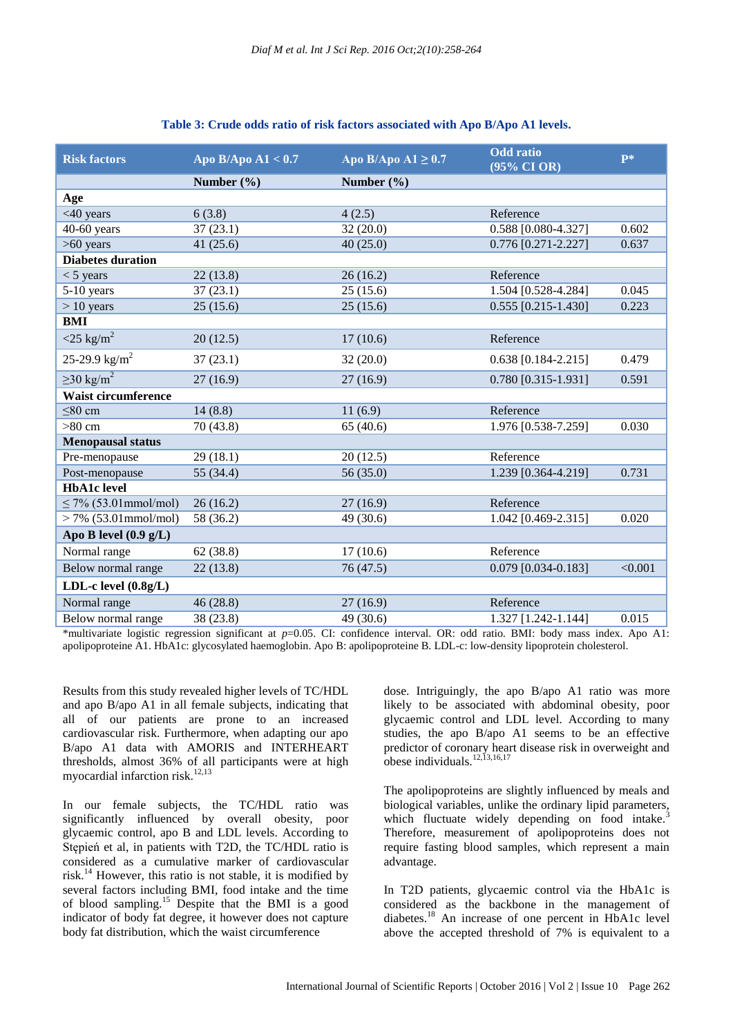| <b>Risk factors</b>         | Apo B/Apo A $1 < 0.7$ | Apo B/Apo A $1 \geq 0.7$ | <b>Odd</b> ratio<br>(95% CI OR) | P*      |
|-----------------------------|-----------------------|--------------------------|---------------------------------|---------|
|                             | Number $(\% )$        | Number $(\% )$           |                                 |         |
| Age                         |                       |                          |                                 |         |
| $<$ 40 years                | 6(3.8)                | 4(2.5)                   | Reference                       |         |
| $40-60$ years               | 37(23.1)              | 32(20.0)                 | 0.588 [0.080-4.327]             | 0.602   |
| $>60$ years                 | 41(25.6)              | 40(25.0)                 | $0.776$ [0.271-2.227]           | 0.637   |
| <b>Diabetes duration</b>    |                       |                          |                                 |         |
| $<$ 5 years                 | 22(13.8)              | 26(16.2)                 | Reference                       |         |
| $5-10$ years                | 37(23.1)              | 25(15.6)                 | 1.504 [0.528-4.284]             | 0.045   |
| $> 10$ years                | 25(15.6)              | 25(15.6)                 | $0.555$ [0.215-1.430]           | 0.223   |
| <b>BMI</b>                  |                       |                          |                                 |         |
| $<$ 25 kg/m <sup>2</sup>    | 20(12.5)              | 17(10.6)                 | Reference                       |         |
| 25-29.9 kg/m <sup>2</sup>   | 37(23.1)              | 32(20.0)                 | $0.638$ [0.184-2.215]           | 0.479   |
| $\geq$ 30 kg/m <sup>2</sup> | 27(16.9)              | 27(16.9)                 | 0.780 [0.315-1.931]             | 0.591   |
| <b>Waist circumference</b>  |                       |                          |                                 |         |
| $\leq 80$ cm                | 14(8.8)               | 11(6.9)                  | Reference                       |         |
| $>80$ cm                    | 70 (43.8)             | 65(40.6)                 | 1.976 [0.538-7.259]             | 0.030   |
| <b>Menopausal status</b>    |                       |                          |                                 |         |
| Pre-menopause               | 29(18.1)              | 20(12.5)                 | Reference                       |         |
| Post-menopause              | 55 (34.4)             | 56 (35.0)                | 1.239 [0.364-4.219]             | 0.731   |
| <b>HbA1c</b> level          |                       |                          |                                 |         |
| $\leq$ 7% (53.01 mmol/mol)  | 26(16.2)              | 27(16.9)                 | Reference                       |         |
| $> 7\%$ (53.01 mmol/mol)    | 58 (36.2)             | 49 (30.6)                | 1.042 [0.469-2.315]             | 0.020   |
| Apo B level $(0.9 g/L)$     |                       |                          |                                 |         |
| Normal range                | 62(38.8)              | 17(10.6)                 | Reference                       |         |
| Below normal range          | 22(13.8)              | 76 (47.5)                | 0.079 [0.034-0.183]             | < 0.001 |
| LDL-c level $(0.8g/L)$      |                       |                          |                                 |         |
| Normal range                | 46(28.8)              | 27(16.9)                 | Reference                       |         |
| Below normal range          | 38 (23.8)             | 49 (30.6)                | 1.327 [1.242-1.144]             | 0.015   |

# **Table 3: Crude odds ratio of risk factors associated with Apo B/Apo A1 levels.**

\*multivariate logistic regression significant at *p*=0.05. CI: confidence interval. OR: odd ratio. BMI: body mass index. Apo A1: apolipoproteine A1. HbA1c: glycosylated haemoglobin. Apo B: apolipoproteine B. LDL-c: low-density lipoprotein cholesterol.

Results from this study revealed higher levels of TC/HDL and apo B/apo A1 in all female subjects, indicating that all of our patients are prone to an increased cardiovascular risk. Furthermore, when adapting our apo B/apo A1 data with AMORIS and INTERHEART thresholds, almost 36% of all participants were at high myocardial infarction risk.<sup>12,13</sup>

In our female subjects, the TC/HDL ratio was significantly influenced by overall obesity, poor glycaemic control, apo B and LDL levels. According to Stępień et al, in patients with T2D, the TC/HDL ratio is considered as a cumulative marker of cardiovascular risk.<sup>14</sup> However, this ratio is not stable, it is modified by several factors including BMI, food intake and the time of blood sampling.<sup>15</sup> Despite that the BMI is a good indicator of body fat degree, it however does not capture body fat distribution, which the waist circumference

dose. Intriguingly, the apo B/apo A1 ratio was more likely to be associated with abdominal obesity, poor glycaemic control and LDL level. According to many studies, the apo B/apo A1 seems to be an effective predictor of coronary heart disease risk in overweight and obese individuals.12,13,16,17

The apolipoproteins are slightly influenced by meals and biological variables, unlike the ordinary lipid parameters, which fluctuate widely depending on food intake.<sup>3</sup> Therefore, measurement of apolipoproteins does not require fasting blood samples, which represent a main advantage.

In T2D patients, glycaemic control via the HbA1c is considered as the backbone in the management of diabetes.<sup>18</sup> An increase of one percent in HbA1c level above the accepted threshold of 7% is equivalent to a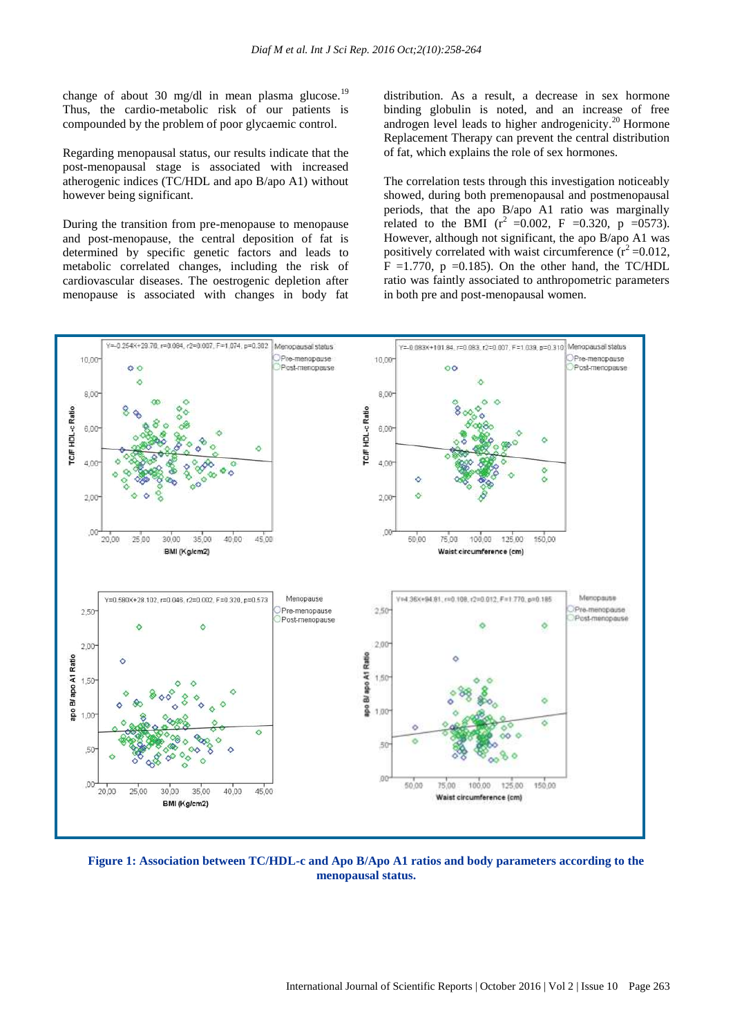change of about 30 mg/dl in mean plasma glucose.<sup>19</sup> Thus, the cardio-metabolic risk of our patients is compounded by the problem of poor glycaemic control.

Regarding menopausal status, our results indicate that the post-menopausal stage is associated with increased atherogenic indices (TC/HDL and apo B/apo A1) without however being significant.

During the transition from pre-menopause to menopause and post-menopause, the central deposition of fat is determined by specific genetic factors and leads to metabolic correlated changes, including the risk of cardiovascular diseases. The oestrogenic depletion after menopause is associated with changes in body fat

distribution. As a result, a decrease in sex hormone binding globulin is noted, and an increase of free androgen level leads to higher androgenicity.<sup>20</sup> Hormone Replacement Therapy can prevent the central distribution of fat, which explains the role of sex hormones.

The correlation tests through this investigation noticeably showed, during both premenopausal and postmenopausal periods, that the apo B/apo A1 ratio was marginally related to the BMI  $(r^2 = 0.002, F = 0.320, p = 0.0573)$ . However, although not significant, the apo B/apo A1 was positively correlated with waist circumference  $(r^2=0.012,$  $F = 1.770$ ,  $p = 0.185$ . On the other hand, the TC/HDL ratio was faintly associated to anthropometric parameters in both pre and post-menopausal women.



**Figure 1: Association between TC/HDL-c and Apo B/Apo A1 ratios and body parameters according to the menopausal status.**